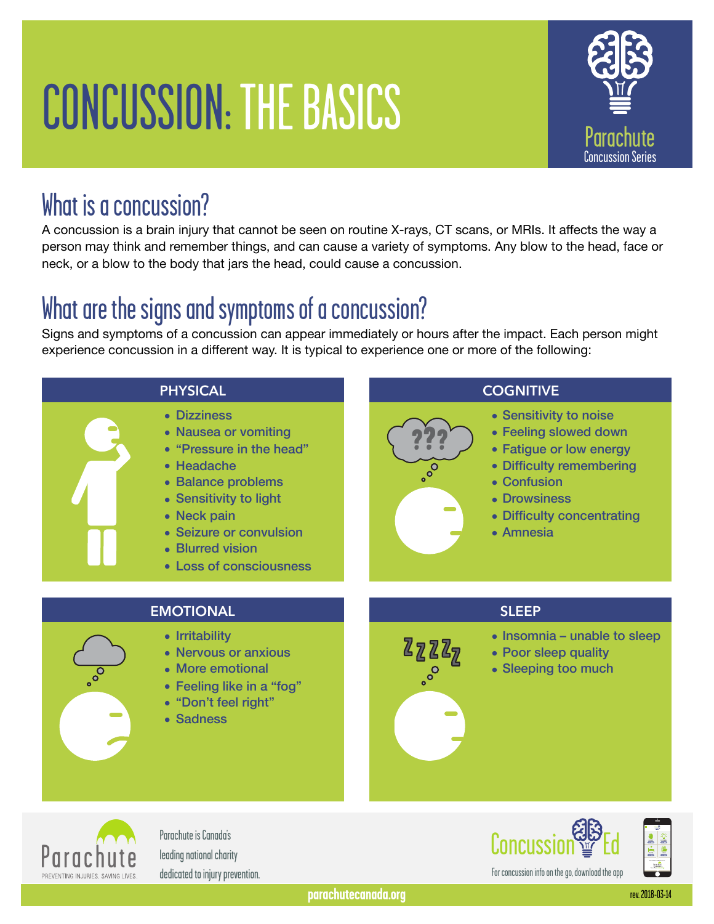# CONCUSSION: THE BASICS



#### What is a concussion?

A concussion is a brain injury that cannot be seen on routine X-rays, CT scans, or MRIs. It affects the way a person may think and remember things, and can cause a variety of symptoms. Any blow to the head, face or neck, or a blow to the body that jars the head, could cause a concussion.

# What are the signs and symptoms of a concussion?

Signs and symptoms of a concussion can appear immediately or hours after the impact. Each person might experience concussion in a different way. It is typical to experience one or more of the following:



- Nervous or anxious
- More emotional
- Feeling like in a "fog"
- "Don't feel right"
- Sadness
- Poor sleep quality
- Sleeping too much



Parachute is Canada's leading national charity dedicated to injury prevention.





For concussion info on the go, download the app